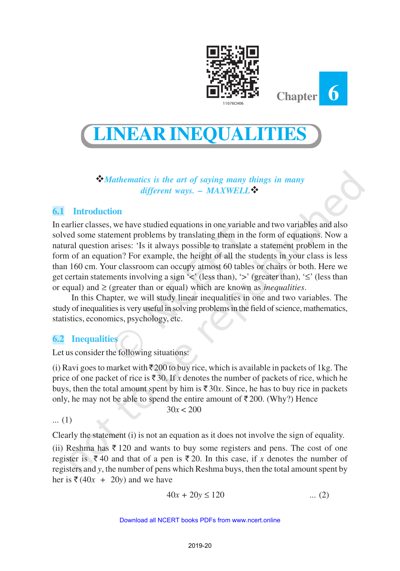

**Chapter 6**



#### v*Mathematics is the art of saying many things in many different ways.* **–** *MAXWELL*v

# **6.1 Introduction**

In earlier classes, we have studied equations in one variable and two variables and also solved some statement problems by translating them in the form of equations. Now a natural question arises: 'Is it always possible to translate a statement problem in the form of an equation? For example, the height of all the students in your class is less than 160 cm. Your classroom can occupy atmost 60 tables or chairs or both. Here we get certain statements involving a sign ' $\lt'$ ' (less than), ' $\gt'$ ' (greater than), ' $\leq'$ ' (less than or equal) and ≥ (greater than or equal) which are known as *inequalities*.

In this Chapter, we will study linear inequalities in one and two variables. The study of inequalities is very useful in solving problems in the field of science, mathematics, statistics, economics, psychology, etc.

## **6.2 Inequalities**

Let us consider the following situations:

(i) Ravi goes to market with  $\bar{\tau}$  200 to buy rice, which is available in packets of 1kg. The price of one packet of rice is  $\bar{\tau}$  30. If *x* denotes the number of packets of rice, which he buys, then the total amount spent by him is  $\bar{\tau}$  30*x*. Since, he has to buy rice in packets only, he may not be able to spend the entire amount of  $\bar{\tau}$  200. (Why?) Hence

 $30x < 200$ 

... (1)

Clearly the statement (i) is not an equation as it does not involve the sign of equality.

(ii) Reshma has  $\bar{\mathfrak{g}}$  120 and wants to buy some registers and pens. The cost of one register is  $\bar{\xi}$  40 and that of a pen is  $\bar{\xi}$  20. In this case, if *x* denotes the number of registers and *y*, the number of pens which Reshma buys, then the total amount spent by her is  $\bar{\tau}$  (40*x* + 20*y*) and we have

$$
40x + 20y \le 120 \tag{2}
$$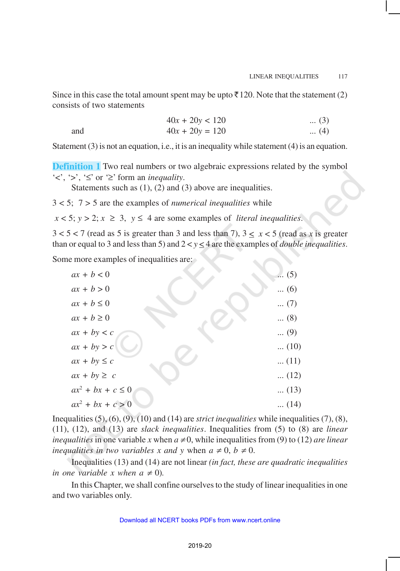Since in this case the total amount spent may be upto  $\bar{\tau}$  120. Note that the statement (2) consists of two statements

 $40x + 20y < 120$  ... (3) and  $40x + 20y = 120$  ... (4)

Statement (3) is not an equation, i.e., it is an inequality while statement (4) is an equation.

**Definition 1** Two real numbers or two algebraic expressions related by the symbol  $\langle \langle \cdot, \cdot \rangle \rangle$ ,  $\langle \leq \rangle$  or  $\langle \geq \rangle$  form an *inequality*.

Statements such as (1), (2) and (3) above are inequalities.

3 < 5; 7 > 5 are the examples of *numerical inequalities* while

 $x < 5$ ;  $y > 2$ ;  $x \ge 3$ ,  $y \le 4$  are some examples of *literal inequalities*.

 $3 < 5 < 7$  (read as 5 is greater than 3 and less than 7),  $3 < x < 5$  (read as x is greater than or equal to 3 and less than 5) and  $2 < y \le 4$  are the examples of *double inequalities*.

Some more examples of inequalities are:

| $ax + b < 0$          | $\ldots$ (5) |
|-----------------------|--------------|
| $ax + b > 0$          | $(6)$        |
| $ax + b \leq 0$       | $(7)$        |
| $ax + b \ge 0$        | $\dots (8)$  |
| $ax + by < c$         | $\ldots$ (9) |
| $ax + by > c$         | $\dots(10)$  |
| $ax + by \leq c$      | $\dots(11)$  |
| $ax + by \geq c$      | $\dots(12)$  |
| $ax^2 + bx + c \le 0$ | $\dots(13)$  |
| $ax^2 + bx + c > 0$   | $\dots(14)$  |

Inequalities (5), (6), (9), (10) and (14) are *strict inequalities* while inequalities (7), (8), (11), (12), and (13) are *slack inequalities*. Inequalities from (5) to (8) are *linear inequalities* in one variable *x* when  $a \neq 0$ , while inequalities from (9) to (12) *are linear inequalities in two variables x and y* when  $a \neq 0$ ,  $b \neq 0$ .

Inequalities (13) and (14) are not linear *(in fact, these are quadratic inequalities in one variable x when*  $a \neq 0$ *).* 

In this Chapter, we shall confine ourselves to the study of linear inequalities in one and two variables only.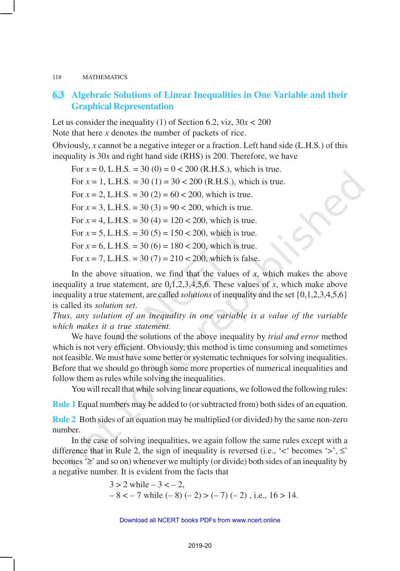# **6.3 Algebraic Solutions of Linear Inequalities in One Variable and their Graphical Representation**

Let us consider the inequality (1) of Section 6.2, viz,  $30x < 200$ Note that here *x* denotes the number of packets of rice.

Obviously, *x* cannot be a negative integer or a fraction. Left hand side (L.H.S.) of this inequality is 30*x* and right hand side (RHS) is 200. Therefore, we have

For  $x = 0$ , L.H.S. = 30 (0) =  $0 < 200$  (R.H.S.), which is true. For  $x = 1$ , L.H.S. = 30 (1) = 30 < 200 (R.H.S.), which is true. For  $x = 2$ , L.H.S. = 30 (2) = 60 < 200, which is true. For  $x = 3$ , L.H.S. = 30 (3) = 90 < 200, which is true. For  $x = 4$ , L.H.S. = 30 (4) = 120 < 200, which is true. For  $x = 5$ , L.H.S. = 30 (5) = 150 < 200, which is true. For  $x = 6$ , L.H.S. = 30 (6) = 180 < 200, which is true. For  $x = 7$ , L.H.S. = 30 (7) = 210 < 200, which is false.

In the above situation, we find that the values of  $x$ , which makes the above inequality a true statement, are 0,1,2,3,4,5,6. These values of *x*, which make above inequality a true statement, are called *solutions* of inequality and the set {0,1,2,3,4,5,6} is called its *solution set*.

*Thus, any solution of an inequality in one variable is a value of the variable which makes it a true statement.*

We have found the solutions of the above inequality by *trial and error* method which is not very efficient. Obviously, this method is time consuming and sometimes not feasible. We must have some better or systematic techniques for solving inequalities. Before that we should go through some more properties of numerical inequalities and follow them as rules while solving the inequalities.

You will recall that while solving linear equations, we followed the following rules:

**Rule 1** Equal numbers may be added to (or subtracted from) both sides of an equation.

**Rule 2** Both sides of an equation may be multiplied (or divided) by the same non-zero number.

In the case of solving inequalities, we again follow the same rules except with a difference that in Rule 2, the sign of inequality is reversed (i.e.,  $\leq$  becomes  $\geq$ ,  $\leq$ becomes '≥' and so on) whenever we multiply (or divide) both sides of an inequality by a negative number. It is evident from the facts that

$$
3 > 2 \text{ while } -3 < -2,
$$
  
-8 < -7 \text{ while } (-8) (-2) > (-7) (-2), i.e., 16 > 14.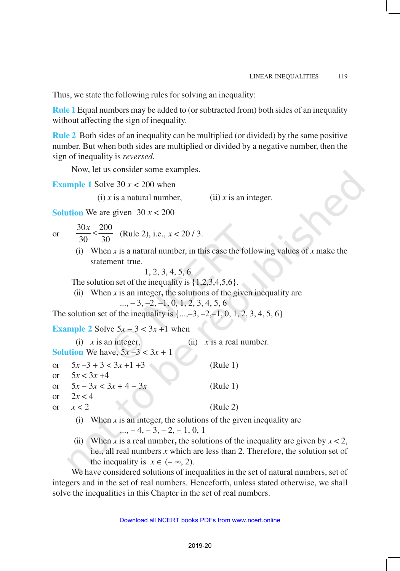Thus, we state the following rules for solving an inequality:

**Rule 1** Equal numbers may be added to (or subtracted from) both sides of an inequality without affecting the sign of inequality.

**Rule 2** Both sides of an inequality can be multiplied (or divided) by the same positive number. But when both sides are multiplied or divided by a negative number, then the sign of inequality is *reversed.*

Now, let us consider some examples.

**Example 1** Solve 30  $x < 200$  when

(i)  $\dot{x}$  is a natural number, (ii)  $\dot{x}$  is an integer.

**Solution** We are given  $30x < 200$ 

or

 $30x - 200$ 30 30  $\frac{x}{\lambda}$  <  $\frac{200}{30}$  (Rule 2), i.e., *x* < 20 / 3.

(i) When *x* is a natural number, in this case the following values of *x* make the statement true.

1, 2, 3, 4, 5, 6.

The solution set of the inequality is  $\{1,2,3,4,5,6\}$ .

(ii) When  $x$  is an integer, the solutions of the given inequality are

 $..., -3, -2, -1, 0, 1, 2, 3, 4, 5, 6$ 

The solution set of the inequality is  $\{..., -3, -2, -1, 0, 1, 2, 3, 4, 5, 6\}$ 

**Example 2** Solve  $5x - 3 < 3x + 1$  when

| $(i)$ x is an integer,                                    | (ii) $x$ is a real number. |
|-----------------------------------------------------------|----------------------------|
| <b>Solution</b> We have, $5x - 3 < 3x + 1$                |                            |
| or $5x-3+3<3x+1+3$                                        | (Rule 1)                   |
| or $5x < 3x + 4$                                          |                            |
| or $5x - 3x < 3x + 4 - 3x$                                | (Rule 1)                   |
| or $2x < 4$                                               |                            |
| or $x < 2$                                                | (Rule 2)                   |
| (i) When r is an integer the solutions of the given inequ |                            |

- (i) When *x* is an integer, the solutions of the given inequality are  $...$ ,  $-4$ ,  $-3$ ,  $-2$ ,  $-1$ , 0, 1
- (ii) When *x* is a real number, the solutions of the inequality are given by  $x < 2$ , i.e., all real numbers *x* which are less than 2. Therefore, the solution set of the inequality is  $x \in (-\infty, 2)$ .

We have considered solutions of inequalities in the set of natural numbers, set of integers and in the set of real numbers. Henceforth, unless stated otherwise, we shall solve the inequalities in this Chapter in the set of real numbers.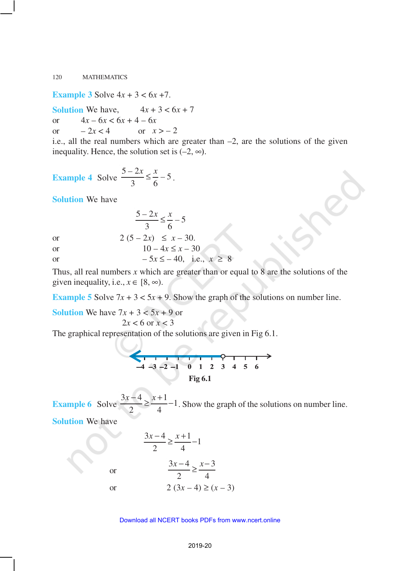**Example 3** Solve  $4x + 3 < 6x + 7$ .

**Solution** We have,  $4x + 3 < 6x + 7$ or 4*x* – 6*x* < 6*x* + 4 – 6*x* or  $-2x < 4$  or  $x > -2$ 

i.e., all the real numbers which are greater than  $-2$ , are the solutions of the given inequality. Hence, the solution set is  $(-2, \infty)$ .

Example 4 Solve 
$$
\frac{5-2x}{3} \le \frac{x}{6} - 5
$$
.

**Solution** We have

or  
\n
$$
\frac{5-2x}{3} \le \frac{x}{6} - 5
$$
\n
$$
2 (5-2x) \le x - 30.
$$
\n
$$
10 - 4x \le x - 30
$$

or –  $5x \le -40$ , i.e.,  $x \ge 8$ 

Thus, all real numbers  $x$  which are greater than or equal to  $8$  are the solutions of the given inequality, i.e.,  $x \in [8, \infty)$ .

**Example 5** Solve  $7x + 3 < 5x + 9$ . Show the graph of the solutions on number line.

**Solution** We have  $7x + 3 < 5x + 9$  or

or

$$
2x < 6 \text{ or } x < 3
$$

The graphical representation of the solutions are given in Fig 6.1.

$$
-4 -3 -2 -1 0 1 2 3 4 5 6
$$
\nFig 6.1

**Example 6** Solve  $\frac{3x-4}{2} \ge \frac{x+1}{4} - 1$ 2 4  $\frac{x-4}{2} \ge \frac{x+1}{4} - 1$ . Show the graph of the solutions on number line.

**Solution** We have

$$
\frac{3x-4}{2} \ge \frac{x+1}{4} - 1
$$
  
or 
$$
\frac{3x-4}{2} \ge \frac{x-3}{4}
$$
  
or 
$$
2(3x-4) \ge (x-3)
$$

#### Download all NCERT books PDFs from [www.ncert.online](http://www.ncert.online)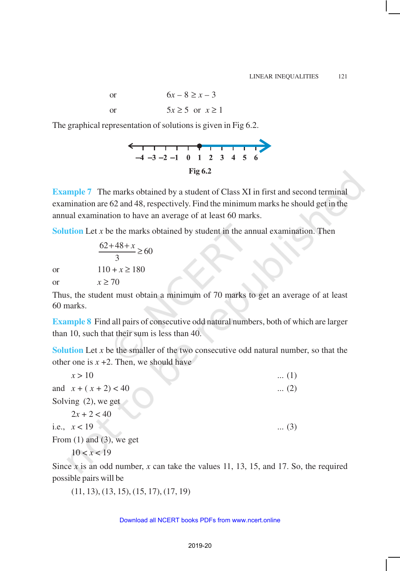or  $6x - 8 > x - 3$ or  $5x \ge 5$  or  $x \ge 1$ 

The graphical representation of solutions is given in Fig 6.2.



**Example 7** The marks obtained by a student of Class XI in first and second terminal examination are 62 and 48, respectively. Find the minimum marks he should get in the annual examination to have an average of at least 60 marks.

**Solution** Let *x* be the marks obtained by student in the annual examination. Then

$$
\frac{62+48+x}{3} \ge 60
$$
  
or 
$$
110+x \ge 180
$$
  
or 
$$
x \ge 70
$$

Thus, the student must obtain a minimum of 70 marks to get an average of at least 60 marks.

**Example 8** Find all pairs of consecutive odd natural numbers, both of which are larger than 10, such that their sum is less than 40.

**Solution** Let *x* be the smaller of the two consecutive odd natural number, so that the other one is  $x + 2$ . Then, we should have

| x > 10                        | $\dots(1)$  |
|-------------------------------|-------------|
| and $x + (x + 2) < 40$        | $\dots (2)$ |
| Solving $(2)$ , we get        |             |
| $2x + 2 < 40$                 |             |
| i.e., $x < 19$                | $(3)$       |
| From $(1)$ and $(3)$ , we get |             |
| 10 < x < 19                   |             |

Since *x* is an odd number, *x* can take the values 11, 13, 15, and 17. So, the required possible pairs will be

(11, 13), (13, 15), (15, 17), (17, 19)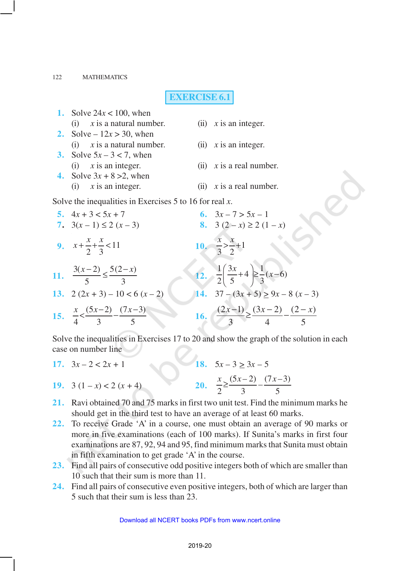#### **EXERCISE 6.1**

| <b>1.</b> Solve $24x < 100$ , when                      |                                                                           |
|---------------------------------------------------------|---------------------------------------------------------------------------|
| $(i)$ x is a natural number.                            | (ii) $x$ is an integer.                                                   |
| <b>2.</b> Solve – $12x > 30$ , when                     |                                                                           |
| (i) $x$ is a natural number.                            | $(ii)$ x is an integer.                                                   |
| 3. Solve $5x - 3 < 7$ , when                            |                                                                           |
| $(i)$ x is an integer.                                  | (ii) $x$ is a real number.                                                |
| 4. Solve $3x + 8 > 2$ , when                            |                                                                           |
| $(i)$ x is an integer.                                  | (ii) $x$ is a real number.                                                |
| Solve the inequalities in Exercises 5 to 16 for real x. |                                                                           |
| 5. $4x + 3 < 5x + 7$                                    | 6. $3x - 7 > 5x - 1$                                                      |
| 7. $3(x-1) \le 2(x-3)$                                  | 8. $3(2-x) \ge 2(1-x)$                                                    |
| 9. $x+\frac{x}{2}+\frac{x}{3} < 11$                     | 10. $\frac{x}{3} > \frac{x}{2} + 1$                                       |
| 11. $\frac{3(x-2)}{5} \leq \frac{5(2-x)}{2}$            | 12. $\frac{1}{2} \left( \frac{3x}{5} + 4 \right) \ge \frac{1}{3} (x - 6)$ |
| 13. $2(2x+3)-10 < 6(x-2)$                               | 14. $37 - (3x + 5) \ge 9x - 8(x - 3)$                                     |
| 15. $\frac{x}{4} < \frac{(5x-2)}{3} - \frac{(7x-3)}{5}$ | 16. $\frac{(2x-1)}{2} \ge \frac{(3x-2)}{4} - \frac{(2-x)}{5}$             |
|                                                         |                                                                           |

Solve the inequalities in Exercises 17 to 20 and show the graph of the solution in each case on number line

- **17.**  $3x 2 < 2x + 1$  **18.**  $5x 3 \ge 3x 5$ **19.**  $3(1-x) < 2(x+4)$  $\frac{(5x-2)}{2} - \frac{(7x-3)}{5}$ 2 3 5  $\frac{x}{2} \geq \frac{(5x-2)}{2} - \frac{(7x-1)^2}{2}$
- **21.** Ravi obtained 70 and 75 marks in first two unit test. Find the minimum marks he should get in the third test to have an average of at least 60 marks.
- **22.** To receive Grade 'A' in a course, one must obtain an average of 90 marks or more in five examinations (each of 100 marks). If Sunita's marks in first four examinations are 87, 92, 94 and 95, find minimum marks that Sunita must obtain in fifth examination to get grade 'A' in the course.
- **23.** Find all pairs of consecutive odd positive integers both of which are smaller than 10 such that their sum is more than 11.
- **24.** Find all pairs of consecutive even positive integers, both of which are larger than 5 such that their sum is less than 23.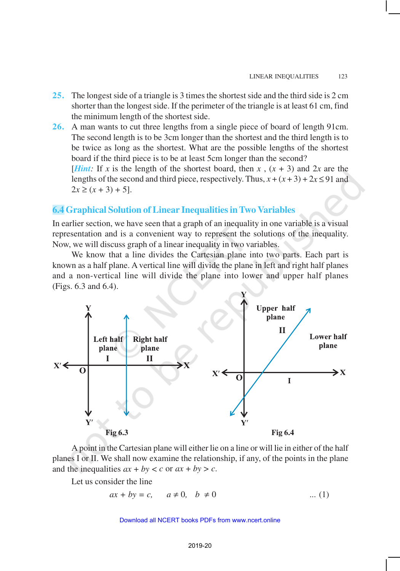- **25.** The longest side of a triangle is 3 times the shortest side and the third side is 2 cm shorter than the longest side. If the perimeter of the triangle is at least 61 cm, find the minimum length of the shortest side.
- **26.** A man wants to cut three lengths from a single piece of board of length 91cm. The second length is to be 3cm longer than the shortest and the third length is to be twice as long as the shortest. What are the possible lengths of the shortest board if the third piece is to be at least 5cm longer than the second? [*Hint*: If *x* is the length of the shortest board, then *x*,  $(x + 3)$  and 2*x* are the lengths of the second and third piece, respectively. Thus,  $x + (x + 3) + 2x \le 91$  and  $2x \ge (x + 3) + 5$ .

#### **6.4 Graphical Solution of Linear Inequalities in Two Variables**

In earlier section, we have seen that a graph of an inequality in one variable is a visual representation and is a convenient way to represent the solutions of the inequality. Now, we will discuss graph of a linear inequality in two variables.

We know that a line divides the Cartesian plane into two parts. Each part is known as a half plane. A vertical line will divide the plane in left and right half planes and a non-vertical line will divide the plane into lower and upper half planes (Figs. 6.3 and 6.4).



A point in the Cartesian plane will either lie on a line or will lie in either of the half planes I or II. We shall now examine the relationship, if any, of the points in the plane and the inequalities  $ax + by < c$  or  $ax + by > c$ .

Let us consider the line

 $ax + by = c$ ,  $a \ne 0$ ,  $b \ne 0$  ... (1)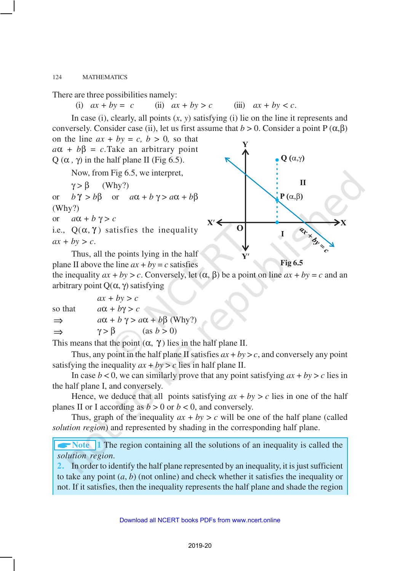There are three possibilities namely:

(i)  $ax + by = c$  (ii)  $ax + by > c$  (iii)  $ax + by < c$ .

In case (i), clearly, all points (*x*, *y*) satisfying (i) lie on the line it represents and conversely. Consider case (ii), let us first assume that  $b > 0$ . Consider a point P ( $\alpha, \beta$ ) on the line  $ax + by = c$ ,  $b > 0$ , so that  $a\alpha + b\beta = c$ . Take an arbitrary point  $Q$  ( $\alpha$ ,  $\gamma$ ) in the half plane II (Fig 6.5).

Now, from Fig 6.5, we interpret,

 $\gamma > \beta$  (Why?)

or  $b\gamma > b\beta$  or  $a\alpha + b\gamma > a\alpha + b\beta$ (Why?) or  $a\alpha + b\gamma > c$ 

i.e.,  $Q(\alpha, \gamma)$  satisfies the inequality  $ax + by > c$ .

Thus, all the points lying in the half plane II above the line  $ax + by = c$  satisfies

 $\mathbf{Q}(\alpha,\gamma)$  $\mathbf{I}$  $P(\alpha,\beta)$  $X' \leq$ **arxand**  $\Omega$ **Fig 6.5**

the inequality  $ax + by > c$ . Conversely, let  $(\alpha, \beta)$  be a point on line  $ax + by = c$  and an arbitrary point  $Q(α, γ)$  satisfying

 $ax + by > c$ so that  $a\alpha + b\gamma > c$  $\Rightarrow$   $a\alpha + b\gamma > a\alpha + b\beta$  (Why?)  $\gamma > \beta$  (as  $b > 0$ )

This means that the point  $(\alpha, \gamma)$  lies in the half plane II.

Thus, any point in the half plane II satisfies  $ax + by > c$ , and conversely any point satisfying the inequality  $ax + by > c$  lies in half plane II.

In case  $b < 0$ , we can similarly prove that any point satisfying  $ax + by > c$  lies in the half plane I, and conversely.

Hence, we deduce that all points satisfying  $ax + by > c$  lies in one of the half planes II or I according as  $b > 0$  or  $b < 0$ , and conversely.

Thus, graph of the inequality  $ax + by > c$  will be one of the half plane (called *solution region*) and represented by shading in the corresponding half plane.

**• Note** 1 The region containing all the solutions of an inequality is called the *solution region.*

**2.** In order to identify the half plane represented by an inequality, it is just sufficient to take any point (*a*, *b*) (not online) and check whether it satisfies the inequality or not. If it satisfies, then the inequality represents the half plane and shade the region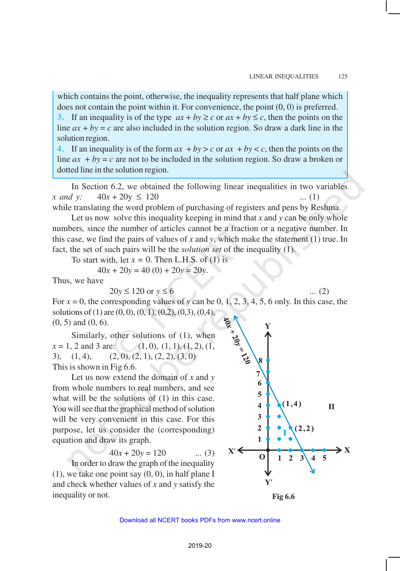which contains the point, otherwise, the inequality represents that half plane which does not contain the point within it. For convenience, the point (0, 0) is preferred. **3.** If an inequality is of the type  $ax + by \ge c$  or  $ax + by \le c$ , then the points on the line  $ax + by = c$  are also included in the solution region. So draw a dark line in the solution region.

**4.** If an inequality is of the form  $ax + by > c$  or  $ax + by < c$ , then the points on the line  $ax + by = c$  are not to be included in the solution region. So draw a broken or dotted line in the solution region.

In Section 6.2, we obtained the following linear inequalities in two variables *x* and *y*:  $40x + 20y \le 120$  ... (1)

while translating the word problem of purchasing of registers and pens by Reshma.

Let us now solve this inequality keeping in mind that x and y can be only whole numbers*,* since the number of articles cannot be a fraction or a negative number. In this case, we find the pairs of values of *x* and *y*, which make the statement (1) true. In fact, the set of such pairs will be the *solution set* of the inequality (1).

To start with, let  $x = 0$ . Then L.H.S. of (1) is

 $40x + 20y = 40(0) + 20y = 20y$ .

Thus, we have

 $20y \le 120$  or  $y \le 6$  ... (2)

For  $x = 0$ , the corresponding values of *y* can be 0, 1, 2, 3, 4, 5, 6 only. In this case, the solutions of (1) are  $(0, 0)$ ,  $(0, 1)$ ,  $(0, 2)$ ,  $(0, 3)$ ,  $(0, 4)$ , (0, 5) and (0, 6).

Similarly, other solutions of (1), when  $x = 1, 2$  and 3 are: (1, 0), (1, 1), (1, 2), (1, 3),  $(1, 4)$ ,  $(2, 0)$ ,  $(2, 1)$ ,  $(2, 2)$ ,  $(3, 0)$ This is shown in Fig 6.6.

Let us now extend the domain of *x* and *y* from whole numbers to real numbers, and see what will be the solutions of (1) in this case. You will see that the graphical method of solution will be very convenient in this case. For this purpose, let us consider the (corresponding) equation and draw its graph.

$$
40x + 20y = 120 \qquad \dots (3)
$$

In order to draw the graph of the inequality  $(1)$ , we take one point say  $(0, 0)$ , in half plane I and check whether values of *x* and *y* satisfy the inequality or not.



**Fig 6.6**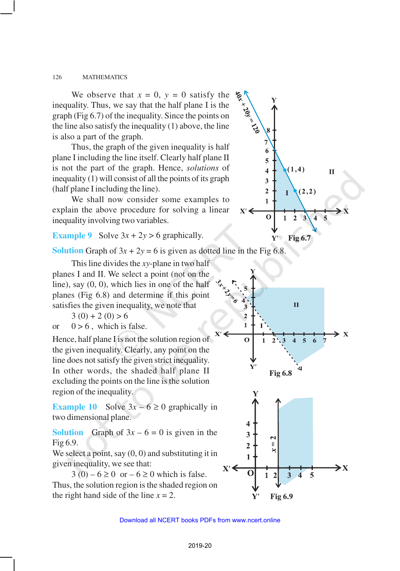We observe that  $x = 0$ ,  $y = 0$  satisfy the inequality. Thus, we say that the half plane I is the graph (Fig 6.7) of the inequality. Since the points on the line also satisfy the inequality (1) above, the line is also a part of the graph.

Thus, the graph of the given inequality is half plane I including the line itself. Clearly half plane II is not the part of the graph. Hence, *solutions* of inequality (1) will consist of all the points of its graph (half plane I including the line).

We shall now consider some examples to explain the above procedure for solving a linear inequality involving two variables.

## **Example 9** Solve  $3x + 2y > 6$  graphically.

**Solution** Graph of  $3x + 2y = 6$  is given as dotted line in the Fig 6.8.

This line divides the *xy*-plane in two half planes I and II. We select a point (not on the line), say (0, 0), which lies in one of the half planes (Fig 6.8) and determine if this point satisfies the given inequality, we note that

 $3(0) + 2(0) > 6$ 

or  $0 > 6$ , which is false.

Hence, half plane I is not the solution region of the given inequality. Clearly, any point on the line does not satisfy the given strict inequality. In other words, the shaded half plane II excluding the points on the line is the solution region of the inequality.

**Example 10** Solve  $3x - 6 \ge 0$  graphically in two dimensional plane.

**Solution** Graph of  $3x - 6 = 0$  is given in the Fig 6.9.

We select a point, say  $(0, 0)$  and substituting it in given inequality, we see that:

 $3(0) - 6 \ge 0$  or  $- 6 \ge 0$  which is false. Thus, the solution region is the shaded region on the right hand side of the line  $x = 2$ .



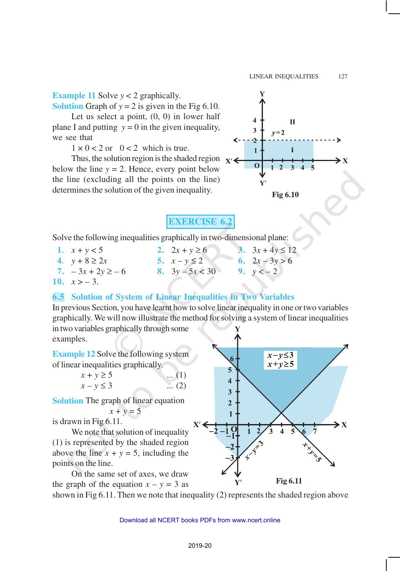## **Example 11** Solve *y* < 2 graphically.

**Solution** Graph of  $y = 2$  is given in the Fig 6.10.

Let us select a point,  $(0, 0)$  in lower half plane I and putting  $y = 0$  in the given inequality, we see that

 $1 \times 0 < 2$  or  $0 < 2$  which is true.

Thus, the solution region is the shaded region  $x'$ below the line  $y = 2$ . Hence, every point below the line (excluding all the points on the line) determines the solution of the given inequality.



**EXERCISE 6.2**

Solve the following inequalities graphically in two-dimensional plane:

- **1.**  $x + y < 5$  **2.**  $2x + y \ge 6$  **3.**  $3x + 4y \le 12$
- **4.**  $y + 8 \ge 2x$  **5.**  $x y \le 2$  **6.**  $2x 3y > 6$ 
	-
- **7.**  $-3x + 2y \ge -6$  **8.**  $3y 5x < 30$  **9.**  $y < -2$
- 10.  $x > -3$ .

#### **6.5 Solution of System of Linear Inequalities in Two Variables**

In previous Section, you have learnt how to solve linear inequality in one or two variables graphically. We will now illustrate the method for solving a system of linear inequalities in two variables graphically through some examples.

**Example 12** Solve the following system of linear inequalities graphically.

| $x + y \ge 5$  | $\dots (1)$  |
|----------------|--------------|
| $x - y \leq 3$ | $\ldots$ (2) |

**Solution** The graph of linear equation  $x + y = 5$ 

is drawn in Fig 6.11.

We note that solution of inequality (1) is represented by the shaded region above the line  $x + y = 5$ , including the points on the line.

On the same set of axes, we draw the graph of the equation  $x - y = 3$  as



shown in Fig 6.11. Then we note that inequality (2) represents the shaded region above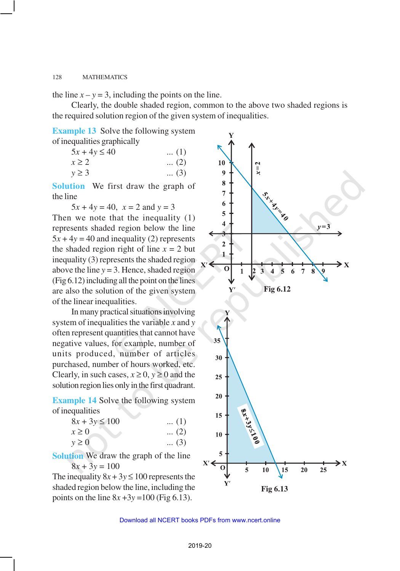the line  $x - y = 3$ , including the points on the line.

Clearly, the double shaded region, common to the above two shaded regions is the required solution region of the given system of inequalities.

**Example 13** Solve the following system of inequalities graphically

| $5x + 4y \le 40$ | $\dots(1)$  |
|------------------|-------------|
| $x \geq 2$       | $\dots (2)$ |
| $y \geq 3$       | $\dots (3)$ |

**Solution** We first draw the graph of the line

 $5x + 4y = 40$ ,  $x = 2$  and  $y = 3$ Then we note that the inequality (1) represents shaded region below the line  $5x + 4y = 40$  and inequality (2) represents the shaded region right of line  $x = 2$  but inequality (3) represents the shaded region above the line *y* = 3. Hence, shaded region (Fig 6.12) including all the point on the lines are also the solution of the given system of the linear inequalities.

In many practical situations involving system of inequalities the variable *x* and *y* often represent quantities that cannot have negative values, for example, number of units produced, number of articles purchased, number of hours worked, etc. Clearly, in such cases,  $x \ge 0$ ,  $y \ge 0$  and the solution region lies only in the first quadrant.

**Example 14** Solve the following system of inequalities

| $8x + 3y \le 100$ | $\dots(1)$  |
|-------------------|-------------|
| $x \geq 0$        | $\dots (2)$ |
| $y \geq 0$        | $\dots (3)$ |

**Solution** We draw the graph of the line  $8x + 3y = 100$ 

The inequality  $8x + 3y \le 100$  represents the shaded region below the line, including the points on the line  $8x + 3y = 100$  (Fig 6.13).

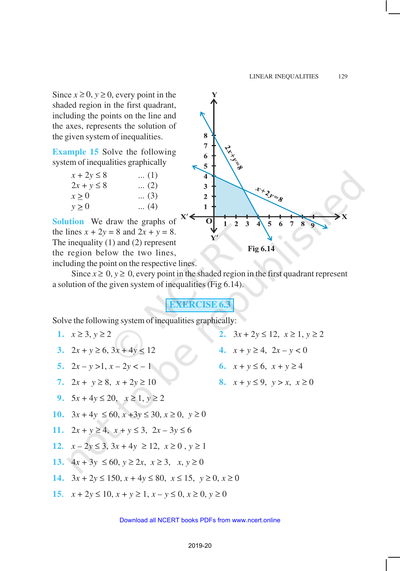Since  $x \ge 0$ ,  $y \ge 0$ , every point in the shaded region in the first quadrant, including the points on the line and the axes, represents the solution of the given system of inequalities.

**Example 15** Solve the following system of inequalities graphically

| $x + 2y \leq 8$ | $\dots(1)$  |
|-----------------|-------------|
| $2x + y \leq 8$ | $(2)$       |
| $x \geq 0$      | $\dots (3)$ |
| $y \geq 0$      | $(4)$       |

**Solution** We draw the graphs of the lines  $x + 2y = 8$  and  $2x + y = 8$ . The inequality (1) and (2) represent the region below the two lines, including the point on the respective lines.

8  $\overline{7}$ **CINEMAL** 6 5 4 ++2y=8 3  $\overline{2}$  $\mathbf{1}$  $1 - 2$  $\overline{3}$ 5 6  $\overline{7}$  $\mathbf{8}$ **Fig 6.14**

Since  $x \ge 0$ ,  $y \ge 0$ , every point in the shaded region in the first quadrant represent a solution of the given system of inequalities (Fig 6.14).

## **EXERCISE 6.3**

Solve the following system of inequalities graphically:

- **1.**  $x \ge 3, y \ge 2$  **2.**  $3x + 2y \le 12, x \ge 1, y \ge 2$ **3.**  $2x + y \ge 6$ ,  $3x + 4y \le 12$  **4.**  $x + y \ge 4$ ,  $2x - y < 0$ **5.**  $2x - y > 1, x - 2y < -1$  **6.**  $x + y \le 6, x + y \ge 4$ **7.**  $2x + y \ge 8$ ,  $x + 2y \ge 10$  **8.**  $x + y \le 9$ ,  $y > x$ ,  $x \ge 0$ **9.**  $5x + 4y \le 20$ ,  $x \ge 1$ ,  $y \ge 2$ **10.** 3*x* + 4*y* ≤ 60, *x* +3*y* ≤ 30, *x* ≥ 0, *y* ≥ 0 **11.** 2*x* + *y* ≥ 4, *x* + *y* ≤ 3, 2*x* – 3*y* ≤ 6 **12***. x* – 2*y* ≤ 3, 3*x* + 4*y* ≥ 12, *x* ≥ 0 , *y* ≥ 1 **13.**  $4x + 3y \le 60, y \ge 2x, x \ge 3, x, y \ge 0$ **14.**  $3x + 2y \le 150$ ,  $x + 4y \le 80$ ,  $x \le 15$ ,  $y \ge 0$ ,  $x \ge 0$
- 15*.*  $x + 2y \le 10$ ,  $x + y \ge 1$ ,  $x y \le 0$ ,  $x \ge 0$ ,  $y \ge 0$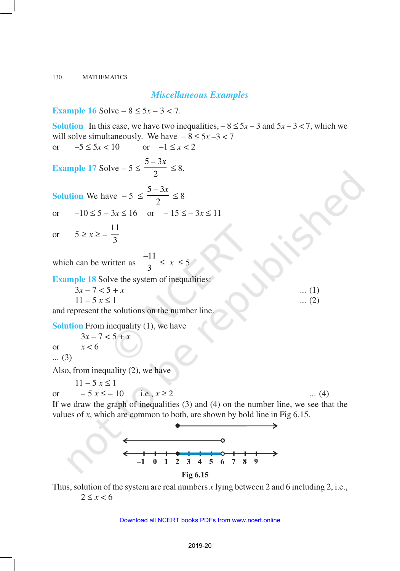#### *Miscellaneous Examples*

**Example 16** Solve –  $8 \le 5x - 3 < 7$ .

**Solution** In this case, we have two inequalities,  $-8 \le 5x - 3$  and  $5x - 3 < 7$ , which we will solve simultaneously. We have  $-8 \le 5x - 3 < 7$ or  $-5 \le 5x < 10$  or  $-1 \le x < 2$ **Example 17** Solve  $-5 \leq \frac{5-3}{2}$ 2  $\frac{-3x}{2} \leq 8.$ **Solution** We have  $-5 \leq \frac{5-3}{2}$ 2 *– x* ≤ 8 or  $-10 \le 5 - 3x \le 16$  or  $-15 \le -3x \le 11$ or  $5 \ge x \ge -\frac{11}{2}$ 3 which can be written as –11  $\frac{11}{3} \leq x \leq 5$ **Example 18** Solve the system of inequalities:  $3x - 7 < 5 + x$  ... (1)  $11 - 5x \le 1$  ... (2) and represent the solutions on the number line. **Solution** From inequality (1), we have  $3x - 7 < 5 + x$ or *x* < 6 ... (3) Also, from inequality (2), we have  $11 - 5 x \le 1$ or  $-5x \le -10$  i.e.,  $x \ge 2$  ... (4) If we draw the graph of inequalities (3) and (4) on the number line, we see that the

values of *x*, which are common to both, are shown by bold line in Fig 6.15.



Thus, solution of the system are real numbers *x* lying between 2 and 6 including 2, i.e.,  $2 \leq x < 6$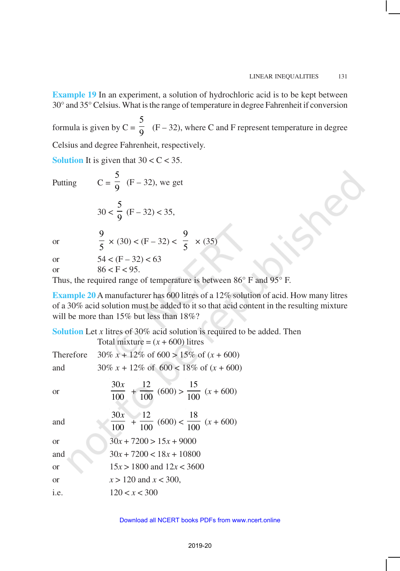**Example 19** In an experiment, a solution of hydrochloric acid is to be kept between 30° and 35° Celsius. What is the range of temperature in degree Fahrenheit if conversion

formula is given by  $C =$ 5  $\overline{9}$  (F – 32), where C and F represent temperature in degree Celsius and degree Fahrenheit, respectively.

**Solution** It is given that  $30 < C < 35$ .  $\overline{\phantom{0}}$ 

Putting

$$
C = \frac{5}{9}
$$
 (F – 32), we get

$$
30 < \frac{5}{9} \quad (\mathrm{F} - 32) < 35,
$$

or

| $\frac{1}{5} \times (30) < (F - 32) < \frac{1}{5} \times (35)$ |  |
|----------------------------------------------------------------|--|

or  $54 < (F - 32) < 63$ or  $86 < F < 95$ .

Thus, the required range of temperature is between 86° F and 95° F.

**Example 20** A manufacturer has 600 litres of a 12% solution of acid. How many litres of a 30% acid solution must be added to it so that acid content in the resulting mixture will be more than 15% but less than 18%?

| <b>Solution</b> Let x litres of 30% acid solution is required to be added. Then |                                                                     |  |
|---------------------------------------------------------------------------------|---------------------------------------------------------------------|--|
|                                                                                 | Total mixture = $(x + 600)$ litres                                  |  |
| Therefore                                                                       | $30\% x + 12\% \text{ of } 600 > 15\% \text{ of } (x + 600)$        |  |
| and                                                                             | $30\% x + 12\% \text{ of } 600 < 18\% \text{ of } (x + 600)$        |  |
| <b>or</b>                                                                       | $\frac{30x}{100} + \frac{12}{100} (600) > \frac{15}{100} (x + 600)$ |  |
| and                                                                             | $\frac{30x}{100} + \frac{12}{100} (600) < \frac{18}{100} (x + 600)$ |  |
| <b>or</b>                                                                       | $30x + 7200 > 15x + 9000$                                           |  |
| and                                                                             | $30x + 7200 < 18x + 10800$                                          |  |
| <b>or</b>                                                                       | $15x > 1800$ and $12x < 3600$                                       |  |
| <b>or</b>                                                                       | $x > 120$ and $x < 300$ ,                                           |  |
| i.e.                                                                            | 120 < x < 300                                                       |  |

Download all NCERT books PDFs from [www.ncert.online](http://www.ncert.online)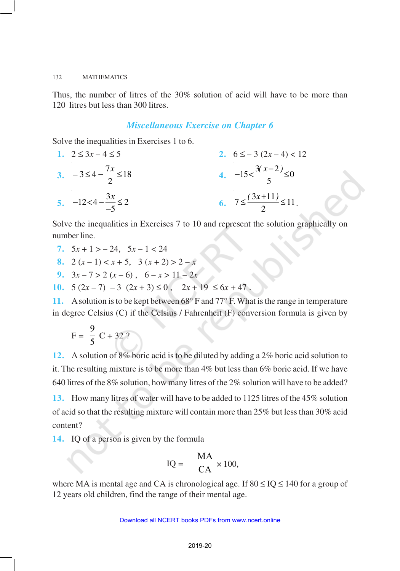Thus, the number of litres of the 30% solution of acid will have to be more than 120 litres but less than 300 litres.

#### *Miscellaneous Exercise on Chapter 6*

Solve the inequalities in Exercises 1 to 6.

| 1. $2 \le 3x - 4 \le 5$             | 2. $6 \le -3(2x - 4) < 12$            |
|-------------------------------------|---------------------------------------|
| 3. $-3 \le 4 - \frac{7x}{2} \le 18$ | 4. $-15 < \frac{3(x - 2)}{5} \le 0$   |
| 5. $-12 < 4 - \frac{3x}{-5} \le 2$  | 6. $7 \le \frac{(3x + 11)}{2} \le 11$ |

Solve the inequalities in Exercises 7 to 10 and represent the solution graphically on number line.

- 7.  $5x + 1 > -24$ ,  $5x 1 < 24$
- **8.**  $2(x-1) < x + 5$ ,  $3(x+2) > 2-x$
- **9.**  $3x 7 > 2(x 6)$ ,  $6 x > 11 2x$
- **10.**  $5(2x-7) 3(2x+3) \le 0$ ,  $2x+19 \le 6x+47$ .

**11.** A solution is to be kept between 68° F and 77° F. What is the range in temperature in degree Celsius (C) if the Celsius / Fahrenheit (F) conversion formula is given by

$$
F = \frac{9}{5} C + 32 ?
$$

**12.** A solution of 8% boric acid is to be diluted by adding a 2% boric acid solution to it. The resulting mixture is to be more than 4% but less than 6% boric acid. If we have 640 litres of the 8% solution, how many litres of the 2% solution will have to be added?

**13.** How many litres of water will have to be added to 1125 litres of the 45% solution of acid so that the resulting mixture will contain more than 25% but less than 30% acid content?

**14.** IQ of a person is given by the formula

$$
IQ = \frac{MA}{CA} \times 100,
$$

where MA is mental age and CA is chronological age. If  $80 \leq IQ \leq 140$  for a group of 12 years old children, find the range of their mental age.

#### Download all NCERT books PDFs from [www.ncert.online](http://www.ncert.online)